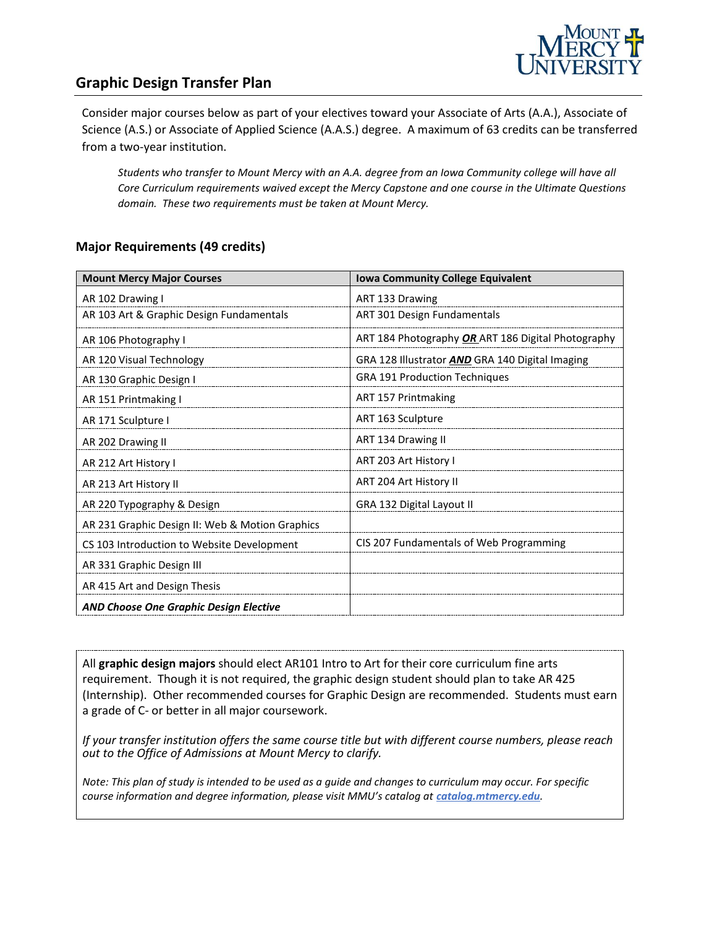

## **Graphic Design Transfer Plan**

Consider major courses below as part of your electives toward your Associate of Arts (A.A.), Associate of Science (A.S.) or Associate of Applied Science (A.A.S.) degree. A maximum of 63 credits can be transferred from a two-year institution.

*Students who transfer to Mount Mercy with an A.A. degree from an Iowa Community college will have all Core Curriculum requirements waived except the Mercy Capstone and one course in the Ultimate Questions domain. These two requirements must be taken at Mount Mercy.*

#### **Major Requirements (49 credits)**

| <b>Mount Mercy Major Courses</b>                | <b>Iowa Community College Equivalent</b>           |
|-------------------------------------------------|----------------------------------------------------|
| AR 102 Drawing I                                | ART 133 Drawing                                    |
| AR 103 Art & Graphic Design Fundamentals        | <b>ART 301 Design Fundamentals</b>                 |
| AR 106 Photography I                            | ART 184 Photography OR ART 186 Digital Photography |
| AR 120 Visual Technology                        | GRA 128 Illustrator AND GRA 140 Digital Imaging    |
| AR 130 Graphic Design I                         | <b>GRA 191 Production Techniques</b>               |
| AR 151 Printmaking I                            | ART 157 Printmaking                                |
| AR 171 Sculpture I                              | ART 163 Sculpture                                  |
| AR 202 Drawing II                               | ART 134 Drawing II                                 |
| AR 212 Art History I                            | ART 203 Art History I                              |
| AR 213 Art History II                           | ART 204 Art History II                             |
| AR 220 Typography & Design                      | GRA 132 Digital Layout II                          |
| AR 231 Graphic Design II: Web & Motion Graphics |                                                    |
| CS 103 Introduction to Website Development      | CIS 207 Fundamentals of Web Programming            |
| AR 331 Graphic Design III                       |                                                    |
| AR 415 Art and Design Thesis                    |                                                    |
| AND Choose One Graphic Design Elective          |                                                    |

All **graphic design majors** should elect AR101 Intro to Art for their core curriculum fine arts requirement. Though it is not required, the graphic design student should plan to take AR 425 (Internship). Other recommended courses for Graphic Design are recommended. Students must earn a grade of C- or better in all major coursework.

*If your transfer institution offers the same course title but with different course numbers, please reach out to the Office of Admissions at Mount Mercy to clarify.*

*Note: This plan of study is intended to be used as a guide and changes to curriculum may occur. For specific course information and degree information, please visit MMU's catalog at catalog.mtmercy.edu.*